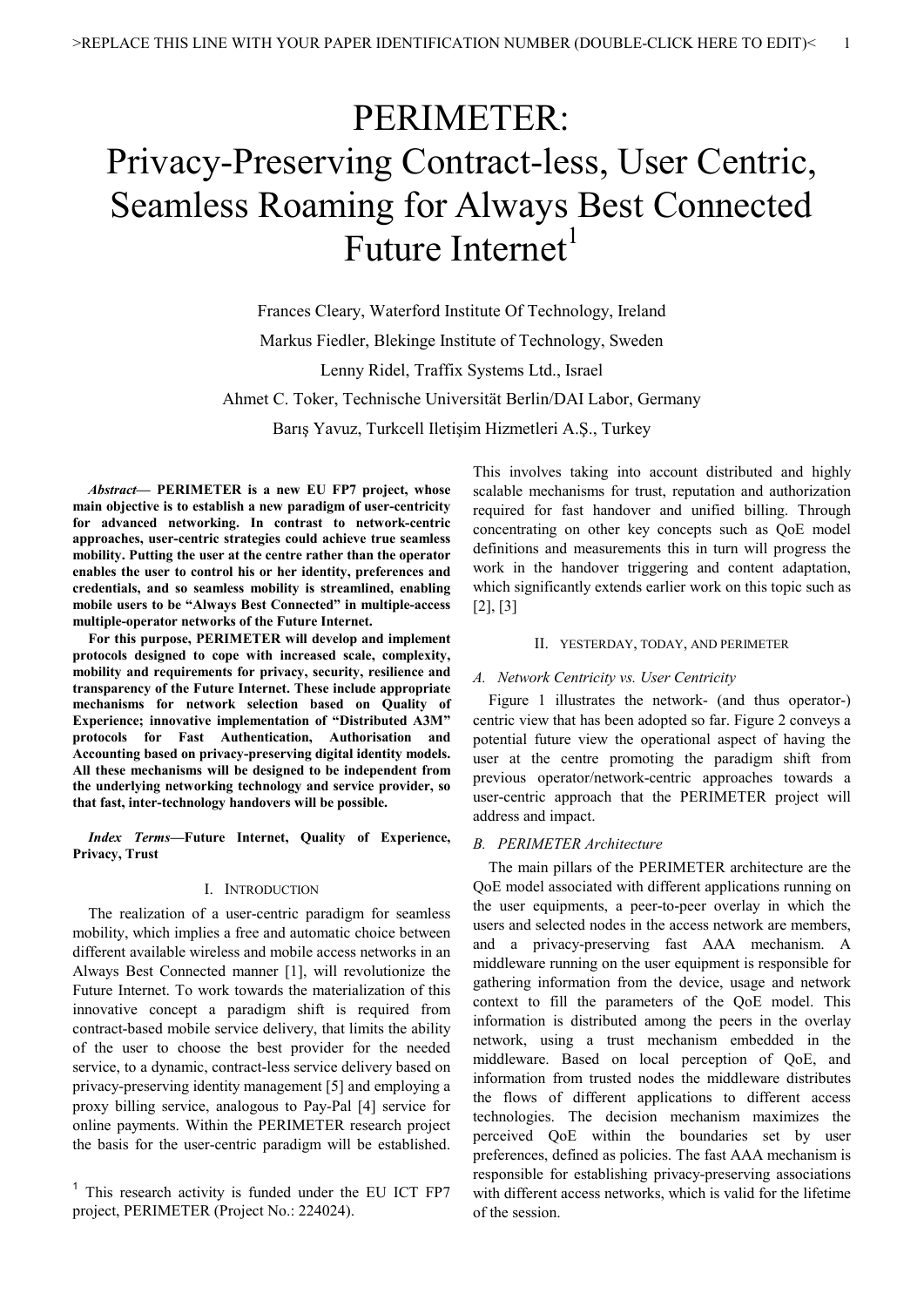# PERIMETER: Privacy-Preserving Contract-less, User Centric, Seamless Roaming for Always Best Connected Future Internet<sup>1</sup>

Frances Cleary, Waterford Institute Of Technology, Ireland Markus Fiedler, Blekinge Institute of Technology, Sweden Lenny Ridel, Traffix Systems Ltd., Israel Ahmet C. Toker, Technische Universität Berlin/DAI Labor, Germany Barış Yavuz, Turkcell Iletişim Hizmetleri A.Ş., Turkey

*Abstract***— PERIMETER is a new EU FP7 project, whose main objective is to establish a new paradigm of user-centricity for advanced networking. In contrast to network-centric approaches, user-centric strategies could achieve true seamless mobility. Putting the user at the centre rather than the operator enables the user to control his or her identity, preferences and credentials, and so seamless mobility is streamlined, enabling mobile users to be "Always Best Connected" in multiple-access multiple-operator networks of the Future Internet.** 

**For this purpose, PERIMETER will develop and implement protocols designed to cope with increased scale, complexity, mobility and requirements for privacy, security, resilience and transparency of the Future Internet. These include appropriate mechanisms for network selection based on Quality of Experience; innovative implementation of "Distributed A3M" protocols for Fast Authentication, Authorisation and Accounting based on privacy-preserving digital identity models. All these mechanisms will be designed to be independent from the underlying networking technology and service provider, so that fast, inter-technology handovers will be possible.** 

*Index Terms***—Future Internet, Quality of Experience, Privacy, Trust** 

# I. INTRODUCTION

The realization of a user-centric paradigm for seamless mobility, which implies a free and automatic choice between different available wireless and mobile access networks in an Always Best Connected manner [1], will revolutionize the Future Internet. To work towards the materialization of this innovative concept a paradigm shift is required from contract-based mobile service delivery, that limits the ability of the user to choose the best provider for the needed service, to a dynamic, contract-less service delivery based on privacy-preserving identity management [5] and employing a proxy billing service, analogous to Pay-Pal [4] service for online payments. Within the PERIMETER research project the basis for the user-centric paradigm will be established.

<sup>1</sup> This research activity is funded under the EU ICT FP7 project, PERIMETER (Project No.: 224024).

This involves taking into account distributed and highly scalable mechanisms for trust, reputation and authorization required for fast handover and unified billing. Through concentrating on other key concepts such as QoE model definitions and measurements this in turn will progress the work in the handover triggering and content adaptation, which significantly extends earlier work on this topic such as [2], [3]

# II. YESTERDAY, TODAY, AND PERIMETER

### *A. Network Centricity vs. User Centricity*

Figure 1 illustrates the network- (and thus operator-) centric view that has been adopted so far. Figure 2 conveys a potential future view the operational aspect of having the user at the centre promoting the paradigm shift from previous operator/network-centric approaches towards a user-centric approach that the PERIMETER project will address and impact.

### *B. PERIMETER Architecture*

The main pillars of the PERIMETER architecture are the QoE model associated with different applications running on the user equipments, a peer-to-peer overlay in which the users and selected nodes in the access network are members, and a privacy-preserving fast AAA mechanism. A middleware running on the user equipment is responsible for gathering information from the device, usage and network context to fill the parameters of the QoE model. This information is distributed among the peers in the overlay network, using a trust mechanism embedded in the middleware. Based on local perception of QoE, and information from trusted nodes the middleware distributes the flows of different applications to different access technologies. The decision mechanism maximizes the perceived QoE within the boundaries set by user preferences, defined as policies. The fast AAA mechanism is responsible for establishing privacy-preserving associations with different access networks, which is valid for the lifetime of the session.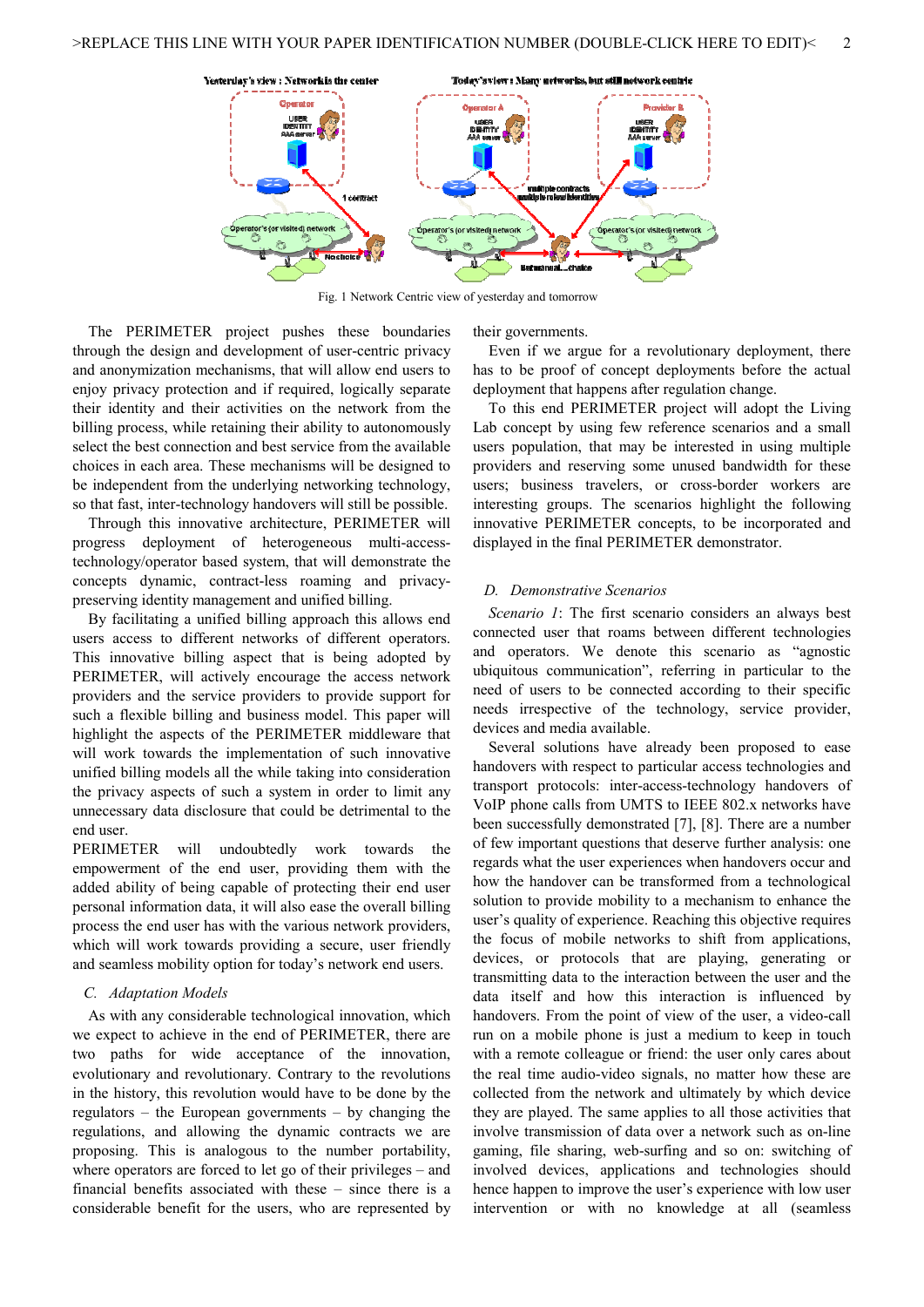

Fig. 1 Network Centric view of yesterday and tomorrow

The PERIMETER project pushes these boundaries through the design and development of user-centric privacy and anonymization mechanisms, that will allow end users to enjoy privacy protection and if required, logically separate their identity and their activities on the network from the billing process, while retaining their ability to autonomously select the best connection and best service from the available choices in each area. These mechanisms will be designed to be independent from the underlying networking technology, so that fast, inter-technology handovers will still be possible.

Through this innovative architecture, PERIMETER will progress deployment of heterogeneous multi-accesstechnology/operator based system, that will demonstrate the concepts dynamic, contract-less roaming and privacypreserving identity management and unified billing.

By facilitating a unified billing approach this allows end users access to different networks of different operators. This innovative billing aspect that is being adopted by PERIMETER, will actively encourage the access network providers and the service providers to provide support for such a flexible billing and business model. This paper will highlight the aspects of the PERIMETER middleware that will work towards the implementation of such innovative unified billing models all the while taking into consideration the privacy aspects of such a system in order to limit any unnecessary data disclosure that could be detrimental to the end user.

PERIMETER will undoubtedly work towards the empowerment of the end user, providing them with the added ability of being capable of protecting their end user personal information data, it will also ease the overall billing process the end user has with the various network providers, which will work towards providing a secure, user friendly and seamless mobility option for today's network end users.

# *C. Adaptation Models*

As with any considerable technological innovation, which we expect to achieve in the end of PERIMETER, there are two paths for wide acceptance of the innovation, evolutionary and revolutionary. Contrary to the revolutions in the history, this revolution would have to be done by the regulators – the European governments – by changing the regulations, and allowing the dynamic contracts we are proposing. This is analogous to the number portability, where operators are forced to let go of their privileges – and financial benefits associated with these – since there is a considerable benefit for the users, who are represented by their governments.

Even if we argue for a revolutionary deployment, there has to be proof of concept deployments before the actual deployment that happens after regulation change.

To this end PERIMETER project will adopt the Living Lab concept by using few reference scenarios and a small users population, that may be interested in using multiple providers and reserving some unused bandwidth for these users; business travelers, or cross-border workers are interesting groups. The scenarios highlight the following innovative PERIMETER concepts, to be incorporated and displayed in the final PERIMETER demonstrator.

## *D. Demonstrative Scenarios*

*Scenario 1*: The first scenario considers an always best connected user that roams between different technologies and operators. We denote this scenario as "agnostic ubiquitous communication", referring in particular to the need of users to be connected according to their specific needs irrespective of the technology, service provider, devices and media available.

Several solutions have already been proposed to ease handovers with respect to particular access technologies and transport protocols: inter-access-technology handovers of VoIP phone calls from UMTS to IEEE 802.x networks have been successfully demonstrated [7], [8]. There are a number of few important questions that deserve further analysis: one regards what the user experiences when handovers occur and how the handover can be transformed from a technological solution to provide mobility to a mechanism to enhance the user's quality of experience. Reaching this objective requires the focus of mobile networks to shift from applications, devices, or protocols that are playing, generating or transmitting data to the interaction between the user and the data itself and how this interaction is influenced by handovers. From the point of view of the user, a video-call run on a mobile phone is just a medium to keep in touch with a remote colleague or friend: the user only cares about the real time audio-video signals, no matter how these are collected from the network and ultimately by which device they are played. The same applies to all those activities that involve transmission of data over a network such as on-line gaming, file sharing, web-surfing and so on: switching of involved devices, applications and technologies should hence happen to improve the user's experience with low user intervention or with no knowledge at all (seamless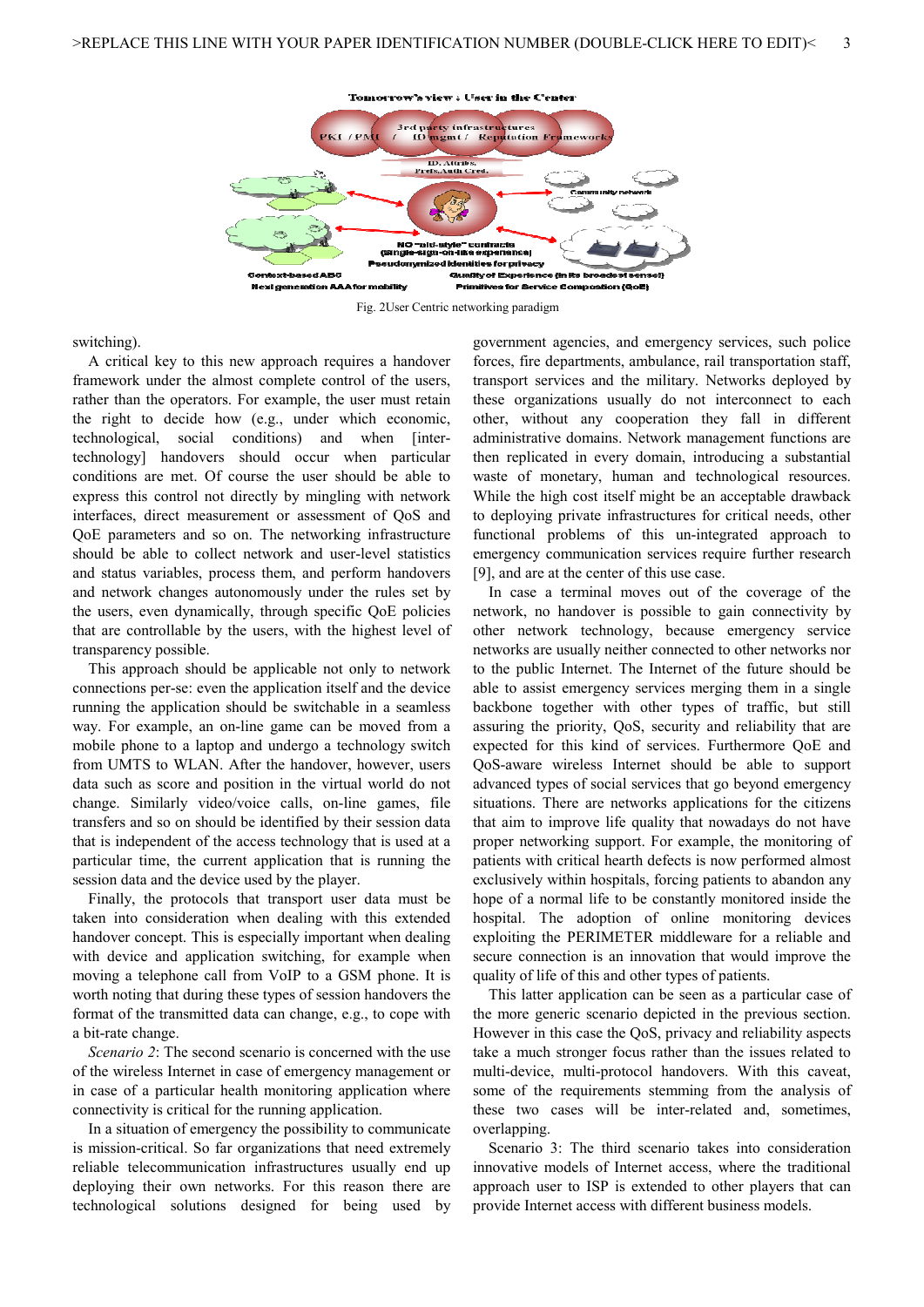

Fig. 2User Centric networking paradigm

switching).

A critical key to this new approach requires a handover framework under the almost complete control of the users, rather than the operators. For example, the user must retain the right to decide how (e.g., under which economic, technological, social conditions) and when [intertechnology] handovers should occur when particular conditions are met. Of course the user should be able to express this control not directly by mingling with network interfaces, direct measurement or assessment of QoS and QoE parameters and so on. The networking infrastructure should be able to collect network and user-level statistics and status variables, process them, and perform handovers and network changes autonomously under the rules set by the users, even dynamically, through specific QoE policies that are controllable by the users, with the highest level of transparency possible.

This approach should be applicable not only to network connections per-se: even the application itself and the device running the application should be switchable in a seamless way. For example, an on-line game can be moved from a mobile phone to a laptop and undergo a technology switch from UMTS to WLAN. After the handover, however, users data such as score and position in the virtual world do not change. Similarly video/voice calls, on-line games, file transfers and so on should be identified by their session data that is independent of the access technology that is used at a particular time, the current application that is running the session data and the device used by the player.

Finally, the protocols that transport user data must be taken into consideration when dealing with this extended handover concept. This is especially important when dealing with device and application switching, for example when moving a telephone call from VoIP to a GSM phone. It is worth noting that during these types of session handovers the format of the transmitted data can change, e.g., to cope with a bit-rate change.

*Scenario 2*: The second scenario is concerned with the use of the wireless Internet in case of emergency management or in case of a particular health monitoring application where connectivity is critical for the running application.

In a situation of emergency the possibility to communicate is mission-critical. So far organizations that need extremely reliable telecommunication infrastructures usually end up deploying their own networks. For this reason there are technological solutions designed for being used by government agencies, and emergency services, such police forces, fire departments, ambulance, rail transportation staff, transport services and the military. Networks deployed by these organizations usually do not interconnect to each other, without any cooperation they fall in different administrative domains. Network management functions are then replicated in every domain, introducing a substantial waste of monetary, human and technological resources. While the high cost itself might be an acceptable drawback to deploying private infrastructures for critical needs, other functional problems of this un-integrated approach to emergency communication services require further research [9], and are at the center of this use case.

In case a terminal moves out of the coverage of the network, no handover is possible to gain connectivity by other network technology, because emergency service networks are usually neither connected to other networks nor to the public Internet. The Internet of the future should be able to assist emergency services merging them in a single backbone together with other types of traffic, but still assuring the priority, QoS, security and reliability that are expected for this kind of services. Furthermore QoE and QoS-aware wireless Internet should be able to support advanced types of social services that go beyond emergency situations. There are networks applications for the citizens that aim to improve life quality that nowadays do not have proper networking support. For example, the monitoring of patients with critical hearth defects is now performed almost exclusively within hospitals, forcing patients to abandon any hope of a normal life to be constantly monitored inside the hospital. The adoption of online monitoring devices exploiting the PERIMETER middleware for a reliable and secure connection is an innovation that would improve the quality of life of this and other types of patients.

This latter application can be seen as a particular case of the more generic scenario depicted in the previous section. However in this case the QoS, privacy and reliability aspects take a much stronger focus rather than the issues related to multi-device, multi-protocol handovers. With this caveat, some of the requirements stemming from the analysis of these two cases will be inter-related and, sometimes, overlapping.

Scenario 3: The third scenario takes into consideration innovative models of Internet access, where the traditional approach user to ISP is extended to other players that can provide Internet access with different business models.